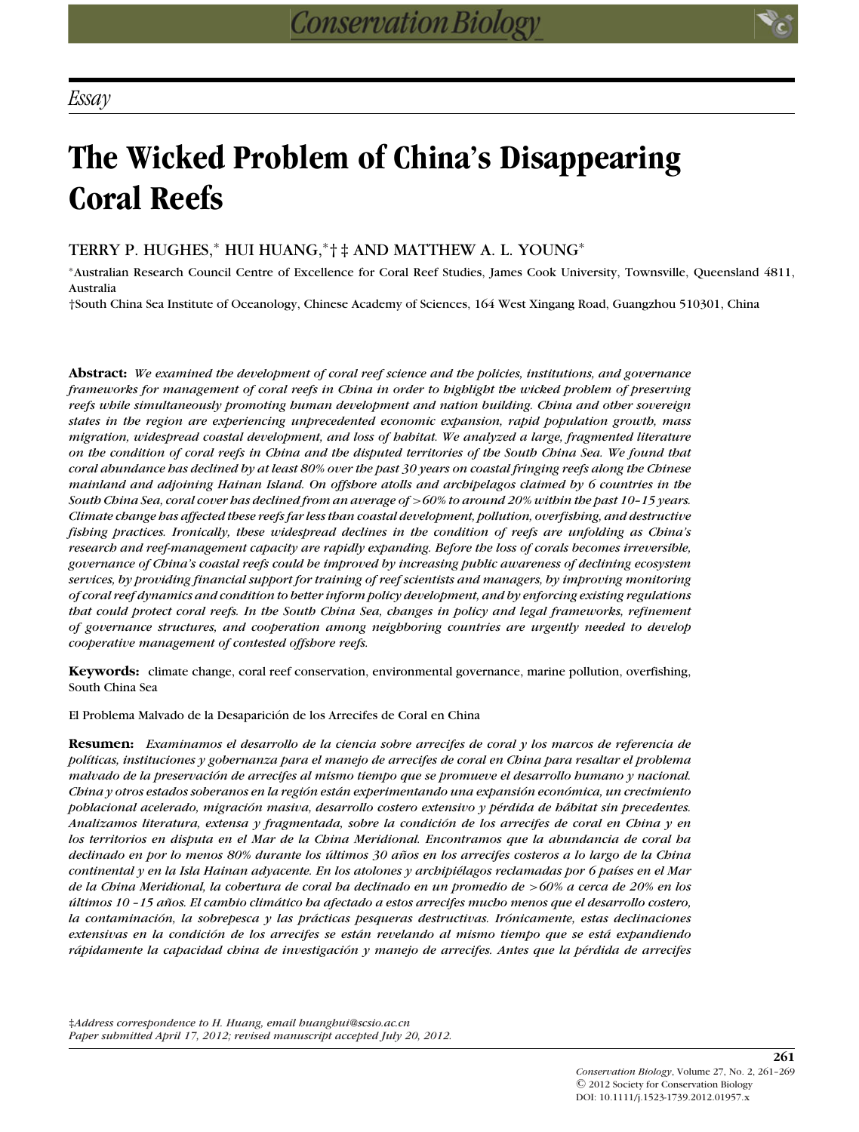# **The Wicked Problem of China's Disappearing Coral Reefs**

TERRY P. HUGHES,<sup>∗</sup> HUI HUANG,∗† ‡ AND MATTHEW A. L. YOUNG<sup>∗</sup>

<sup>∗</sup>Australian Research Council Centre of Excellence for Coral Reef Studies, James Cook University, Townsville, Queensland 4811, Australia

†South China Sea Institute of Oceanology, Chinese Academy of Sciences, 164 West Xingang Road, Guangzhou 510301, China

**Abstract:** *We examined the development of coral reef science and the policies, institutions, and governance frameworks for management of coral reefs in China in order to highlight the wicked problem of preserving reefs while simultaneously promoting human development and nation building. China and other sovereign states in the region are experiencing unprecedented economic expansion, rapid population growth, mass migration, widespread coastal development, and loss of habitat. We analyzed a large, fragmented literature on the condition of coral reefs in China and the disputed territories of the South China Sea. We found that coral abundance has declined by at least 80% over the past 30 years on coastal fringing reefs along the Chinese mainland and adjoining Hainan Island. On offshore atolls and archipelagos claimed by 6 countries in the South China Sea, coral cover has declined from an average of* >*60% to around 20% within the past 10–15 years. Climate change has affected these reefs far less than coastal development, pollution, overfishing, and destructive fishing practices. Ironically, these widespread declines in the condition of reefs are unfolding as China's research and reef-management capacity are rapidly expanding. Before the loss of corals becomes irreversible, governance of China's coastal reefs could be improved by increasing public awareness of declining ecosystem services, by providing financial support for training of reef scientists and managers, by improving monitoring of coral reef dynamics and condition to better inform policy development, and by enforcing existing regulations that could protect coral reefs. In the South China Sea, changes in policy and legal frameworks, refinement of governance structures, and cooperation among neighboring countries are urgently needed to develop cooperative management of contested offshore reefs.*

**Keywords:** climate change, coral reef conservation, environmental governance, marine pollution, overfishing, South China Sea

El Problema Malvado de la Desaparición de los Arrecifes de Coral en China

**Resumen:** *Examinamos el desarrollo de la ciencia sobre arrecifes de coral y los marcos de referencia de pol´ıticas, instituciones y gobernanza para el manejo de arrecifes de coral en China para resaltar el problema malvado de la preservacion de arrecifes al mismo tiempo que se promueve el desarrollo humano y nacional. ´ China y otros estados soberanos en la region est ´ an experimentando una expansi ´ on econ ´ omica, un crecimiento ´ poblacional acelerado, migracion masiva, desarrollo costero extensivo y p ´ ´erdida de habitat sin precedentes. ´ Analizamos literatura, extensa y fragmentada, sobre la condicion de los arrecifes de coral en China y en ´ los territorios en disputa en el Mar de la China Meridional. Encontramos que la abundancia de coral ha declinado en por lo menos 80% durante los ultimos 30 a ´ nos en los arrecifes costeros a lo largo de la China ˜ continental y en la Isla Hainan adyacente. En los atolones y archipi´elagos reclamadas por 6 pa´ıses en el Mar de la China Meridional, la cobertura de coral ha declinado en un promedio de* >*60% a cerca de 20% en los ultimos 10 –15 a ´ nos. El cambio clim ˜ atico ha afectado a estos arrecifes mucho menos que el desarrollo costero, ´ la contaminacion, la sobrepesca y las pr ´ acticas pesqueras destructivas. Ir ´ onicamente, estas declinaciones ´ extensivas en la condicion de los arrecifes se est ´ an revelando al mismo tiempo que se est ´ a expandiendo ´ rapidamente la capacidad china de investigaci ´ on y manejo de arrecifes. Antes que la p ´ ´erdida de arrecifes*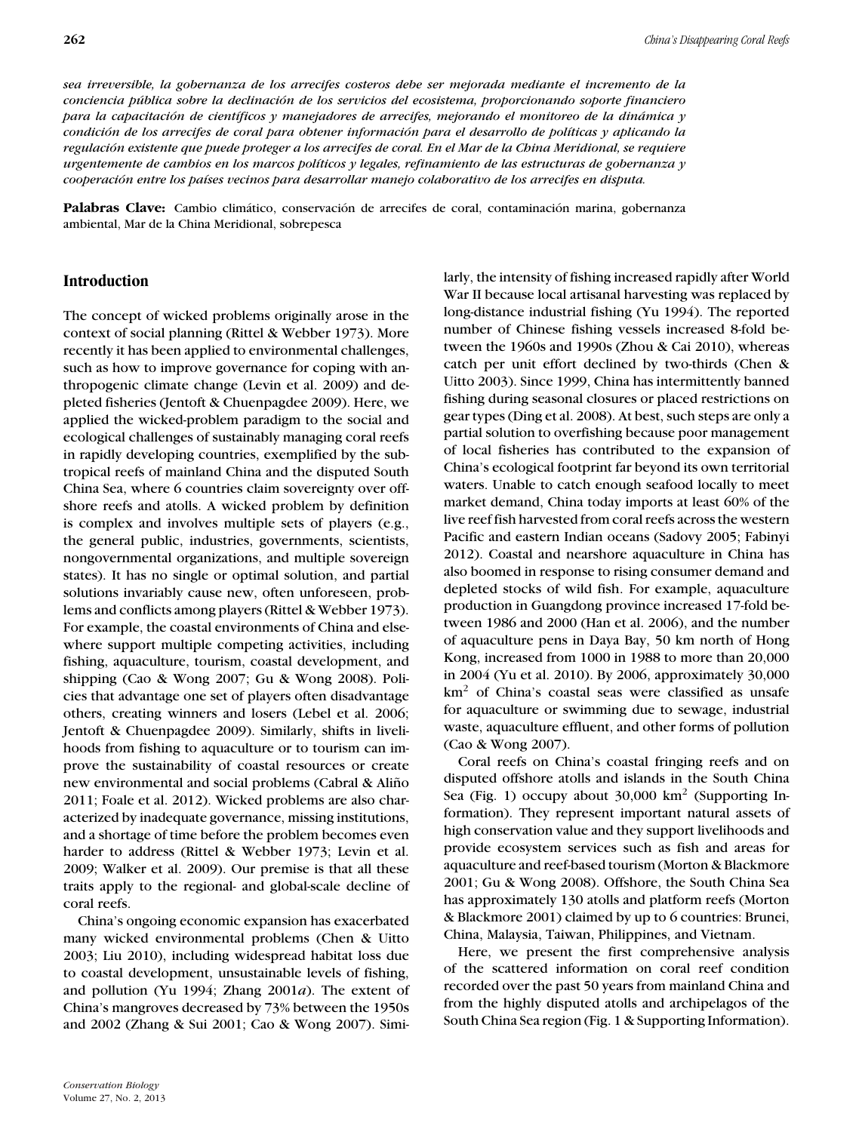*sea irreversible, la gobernanza de los arrecifes costeros debe ser mejorada mediante el incremento de la conciencia publica sobre la declinaci ´ on de los servicios del ecosistema, proporcionando soporte financiero ´ para la capacitacion de cient ´ ´ıficos y manejadores de arrecifes, mejorando el monitoreo de la dinamica y ´ condicion de los arrecifes de coral para obtener informaci ´ on para el desarrollo de pol ´ ´ıticas y aplicando la regulacion existente que puede proteger a los arrecifes de coral. En el Mar de la China Meridional, se requiere ´ urgentemente de cambios en los marcos pol´ıticos y legales, refinamiento de las estructuras de gobernanza y cooperacion entre los pa ´ ´ıses vecinos para desarrollar manejo colaborativo de los arrecifes en disputa.*

Palabras Clave: Cambio climático, conservación de arrecifes de coral, contaminación marina, gobernanza ambiental, Mar de la China Meridional, sobrepesca

## **Introduction**

The concept of wicked problems originally arose in the context of social planning (Rittel & Webber 1973). More recently it has been applied to environmental challenges, such as how to improve governance for coping with anthropogenic climate change (Levin et al. 2009) and depleted fisheries (Jentoft & Chuenpagdee 2009). Here, we applied the wicked-problem paradigm to the social and ecological challenges of sustainably managing coral reefs in rapidly developing countries, exemplified by the subtropical reefs of mainland China and the disputed South China Sea, where 6 countries claim sovereignty over offshore reefs and atolls. A wicked problem by definition is complex and involves multiple sets of players (e.g., the general public, industries, governments, scientists, nongovernmental organizations, and multiple sovereign states). It has no single or optimal solution, and partial solutions invariably cause new, often unforeseen, problems and conflicts among players (Rittel & Webber 1973). For example, the coastal environments of China and elsewhere support multiple competing activities, including fishing, aquaculture, tourism, coastal development, and shipping (Cao & Wong 2007; Gu & Wong 2008). Policies that advantage one set of players often disadvantage others, creating winners and losers (Lebel et al. 2006; Jentoft & Chuenpagdee 2009). Similarly, shifts in livelihoods from fishing to aquaculture or to tourism can improve the sustainability of coastal resources or create new environmental and social problems (Cabral & Aliño 2011; Foale et al. 2012). Wicked problems are also characterized by inadequate governance, missing institutions, and a shortage of time before the problem becomes even harder to address (Rittel & Webber 1973; Levin et al. 2009; Walker et al. 2009). Our premise is that all these traits apply to the regional- and global-scale decline of coral reefs.

China's ongoing economic expansion has exacerbated many wicked environmental problems (Chen & Uitto 2003; Liu 2010), including widespread habitat loss due to coastal development, unsustainable levels of fishing, and pollution (Yu 1994; Zhang 2001*a*). The extent of China's mangroves decreased by 73% between the 1950s and 2002 (Zhang & Sui 2001; Cao & Wong 2007). Similarly, the intensity of fishing increased rapidly after World War II because local artisanal harvesting was replaced by long-distance industrial fishing (Yu 1994). The reported number of Chinese fishing vessels increased 8-fold between the 1960s and 1990s (Zhou & Cai 2010), whereas catch per unit effort declined by two-thirds (Chen & Uitto 2003). Since 1999, China has intermittently banned fishing during seasonal closures or placed restrictions on gear types (Ding et al. 2008). At best, such steps are only a partial solution to overfishing because poor management of local fisheries has contributed to the expansion of China's ecological footprint far beyond its own territorial waters. Unable to catch enough seafood locally to meet market demand, China today imports at least 60% of the live reef fish harvested from coral reefs across the western Pacific and eastern Indian oceans (Sadovy 2005; Fabinyi 2012). Coastal and nearshore aquaculture in China has also boomed in response to rising consumer demand and depleted stocks of wild fish. For example, aquaculture production in Guangdong province increased 17-fold between 1986 and 2000 (Han et al. 2006), and the number of aquaculture pens in Daya Bay, 50 km north of Hong Kong, increased from 1000 in 1988 to more than 20,000 in 2004 (Yu et al. 2010). By 2006, approximately 30,000  $km<sup>2</sup>$  of China's coastal seas were classified as unsafe for aquaculture or swimming due to sewage, industrial waste, aquaculture effluent, and other forms of pollution (Cao & Wong 2007).

Coral reefs on China's coastal fringing reefs and on disputed offshore atolls and islands in the South China Sea (Fig. 1) occupy about  $30,000 \text{ km}^2$  (Supporting Information). They represent important natural assets of high conservation value and they support livelihoods and provide ecosystem services such as fish and areas for aquaculture and reef-based tourism (Morton & Blackmore 2001; Gu & Wong 2008). Offshore, the South China Sea has approximately 130 atolls and platform reefs (Morton & Blackmore 2001) claimed by up to 6 countries: Brunei, China, Malaysia, Taiwan, Philippines, and Vietnam.

Here, we present the first comprehensive analysis of the scattered information on coral reef condition recorded over the past 50 years from mainland China and from the highly disputed atolls and archipelagos of the South China Sea region (Fig. 1 & Supporting Information).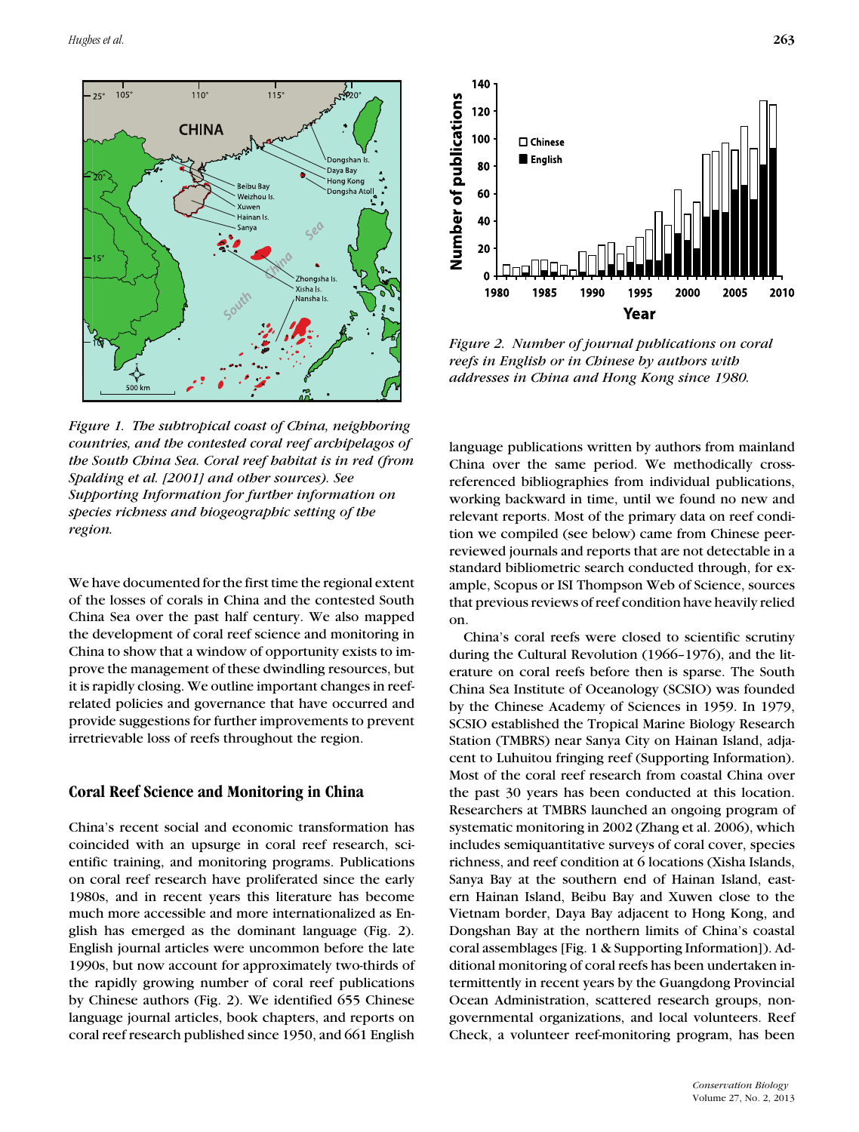

*Figure 1. The subtropical coast of China, neighboring countries, and the contested coral reef archipelagos of the South China Sea. Coral reef habitat is in red (from Spalding et al. [2001] and other sources). See Supporting Information for further information on species richness and biogeographic setting of the region.*

We have documented for the first time the regional extent of the losses of corals in China and the contested South China Sea over the past half century. We also mapped the development of coral reef science and monitoring in China to show that a window of opportunity exists to improve the management of these dwindling resources, but it is rapidly closing. We outline important changes in reefrelated policies and governance that have occurred and provide suggestions for further improvements to prevent irretrievable loss of reefs throughout the region.

## **Coral Reef Science and Monitoring in China**

China's recent social and economic transformation has coincided with an upsurge in coral reef research, scientific training, and monitoring programs. Publications on coral reef research have proliferated since the early 1980s, and in recent years this literature has become much more accessible and more internationalized as English has emerged as the dominant language (Fig. 2). English journal articles were uncommon before the late 1990s, but now account for approximately two-thirds of the rapidly growing number of coral reef publications by Chinese authors (Fig. 2). We identified 655 Chinese language journal articles, book chapters, and reports on coral reef research published since 1950, and 661 English



*Figure 2. Number of journal publications on coral reefs in English or in Chinese by authors with addresses in China and Hong Kong since 1980.*

language publications written by authors from mainland China over the same period. We methodically crossreferenced bibliographies from individual publications, working backward in time, until we found no new and relevant reports. Most of the primary data on reef condition we compiled (see below) came from Chinese peerreviewed journals and reports that are not detectable in a standard bibliometric search conducted through, for example, Scopus or ISI Thompson Web of Science, sources that previous reviews of reef condition have heavily relied on.

China's coral reefs were closed to scientific scrutiny during the Cultural Revolution (1966–1976), and the literature on coral reefs before then is sparse. The South China Sea Institute of Oceanology (SCSIO) was founded by the Chinese Academy of Sciences in 1959. In 1979, SCSIO established the Tropical Marine Biology Research Station (TMBRS) near Sanya City on Hainan Island, adjacent to Luhuitou fringing reef (Supporting Information). Most of the coral reef research from coastal China over the past 30 years has been conducted at this location. Researchers at TMBRS launched an ongoing program of systematic monitoring in 2002 (Zhang et al. 2006), which includes semiquantitative surveys of coral cover, species richness, and reef condition at 6 locations (Xisha Islands, Sanya Bay at the southern end of Hainan Island, eastern Hainan Island, Beibu Bay and Xuwen close to the Vietnam border, Daya Bay adjacent to Hong Kong, and Dongshan Bay at the northern limits of China's coastal coral assemblages [Fig. 1 & Supporting Information]). Additional monitoring of coral reefs has been undertaken intermittently in recent years by the Guangdong Provincial Ocean Administration, scattered research groups, nongovernmental organizations, and local volunteers. Reef Check, a volunteer reef-monitoring program, has been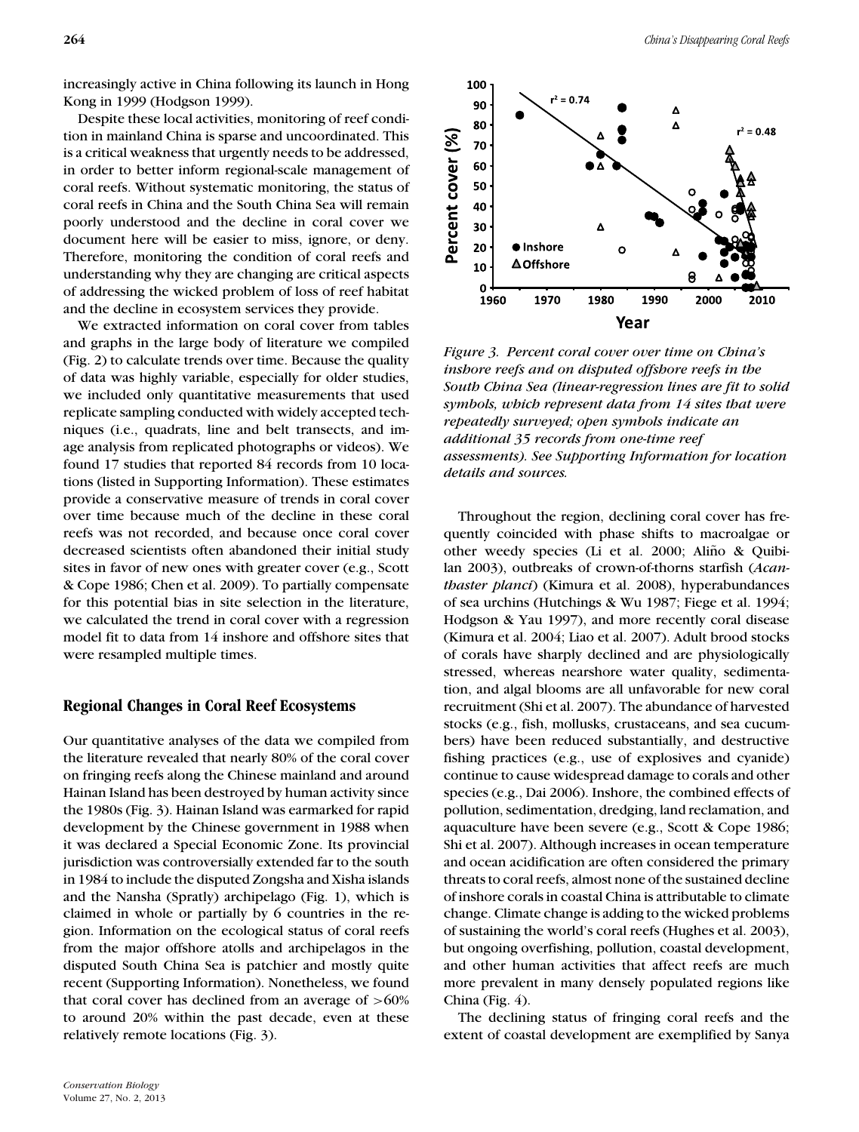increasingly active in China following its launch in Hong Kong in 1999 (Hodgson 1999).

Despite these local activities, monitoring of reef condition in mainland China is sparse and uncoordinated. This is a critical weakness that urgently needs to be addressed, in order to better inform regional-scale management of coral reefs. Without systematic monitoring, the status of coral reefs in China and the South China Sea will remain poorly understood and the decline in coral cover we document here will be easier to miss, ignore, or deny. Therefore, monitoring the condition of coral reefs and understanding why they are changing are critical aspects of addressing the wicked problem of loss of reef habitat and the decline in ecosystem services they provide.

We extracted information on coral cover from tables and graphs in the large body of literature we compiled (Fig. 2) to calculate trends over time. Because the quality of data was highly variable, especially for older studies, we included only quantitative measurements that used replicate sampling conducted with widely accepted techniques (i.e., quadrats, line and belt transects, and image analysis from replicated photographs or videos). We found 17 studies that reported 84 records from 10 locations (listed in Supporting Information). These estimates provide a conservative measure of trends in coral cover over time because much of the decline in these coral reefs was not recorded, and because once coral cover decreased scientists often abandoned their initial study sites in favor of new ones with greater cover (e.g., Scott & Cope 1986; Chen et al. 2009). To partially compensate for this potential bias in site selection in the literature, we calculated the trend in coral cover with a regression model fit to data from 14 inshore and offshore sites that were resampled multiple times.

#### **Regional Changes in Coral Reef Ecosystems**

Our quantitative analyses of the data we compiled from the literature revealed that nearly 80% of the coral cover on fringing reefs along the Chinese mainland and around Hainan Island has been destroyed by human activity since the 1980s (Fig. 3). Hainan Island was earmarked for rapid development by the Chinese government in 1988 when it was declared a Special Economic Zone. Its provincial jurisdiction was controversially extended far to the south in 1984 to include the disputed Zongsha and Xisha islands and the Nansha (Spratly) archipelago (Fig. 1), which is claimed in whole or partially by 6 countries in the region. Information on the ecological status of coral reefs from the major offshore atolls and archipelagos in the disputed South China Sea is patchier and mostly quite recent (Supporting Information). Nonetheless, we found that coral cover has declined from an average of >60% to around 20% within the past decade, even at these relatively remote locations (Fig. 3).



*Figure 3. Percent coral cover over time on China's inshore reefs and on disputed offshore reefs in the South China Sea (linear-regression lines are fit to solid symbols, which represent data from 14 sites that were repeatedly surveyed; open symbols indicate an additional 35 records from one-time reef assessments). See Supporting Information for location details and sources.*

Throughout the region, declining coral cover has frequently coincided with phase shifts to macroalgae or other weedy species (Li et al. 2000; Aliño & Quibilan 2003), outbreaks of crown-of-thorns starfish (*Acanthaster planci*) (Kimura et al. 2008), hyperabundances of sea urchins (Hutchings & Wu 1987; Fiege et al. 1994; Hodgson & Yau 1997), and more recently coral disease (Kimura et al. 2004; Liao et al. 2007). Adult brood stocks of corals have sharply declined and are physiologically stressed, whereas nearshore water quality, sedimentation, and algal blooms are all unfavorable for new coral recruitment (Shi et al. 2007). The abundance of harvested stocks (e.g., fish, mollusks, crustaceans, and sea cucumbers) have been reduced substantially, and destructive fishing practices (e.g., use of explosives and cyanide) continue to cause widespread damage to corals and other species (e.g., Dai 2006). Inshore, the combined effects of pollution, sedimentation, dredging, land reclamation, and aquaculture have been severe (e.g., Scott & Cope 1986; Shi et al. 2007). Although increases in ocean temperature and ocean acidification are often considered the primary threats to coral reefs, almost none of the sustained decline of inshore corals in coastal China is attributable to climate change. Climate change is adding to the wicked problems of sustaining the world's coral reefs (Hughes et al. 2003), but ongoing overfishing, pollution, coastal development, and other human activities that affect reefs are much more prevalent in many densely populated regions like China (Fig. 4).

The declining status of fringing coral reefs and the extent of coastal development are exemplified by Sanya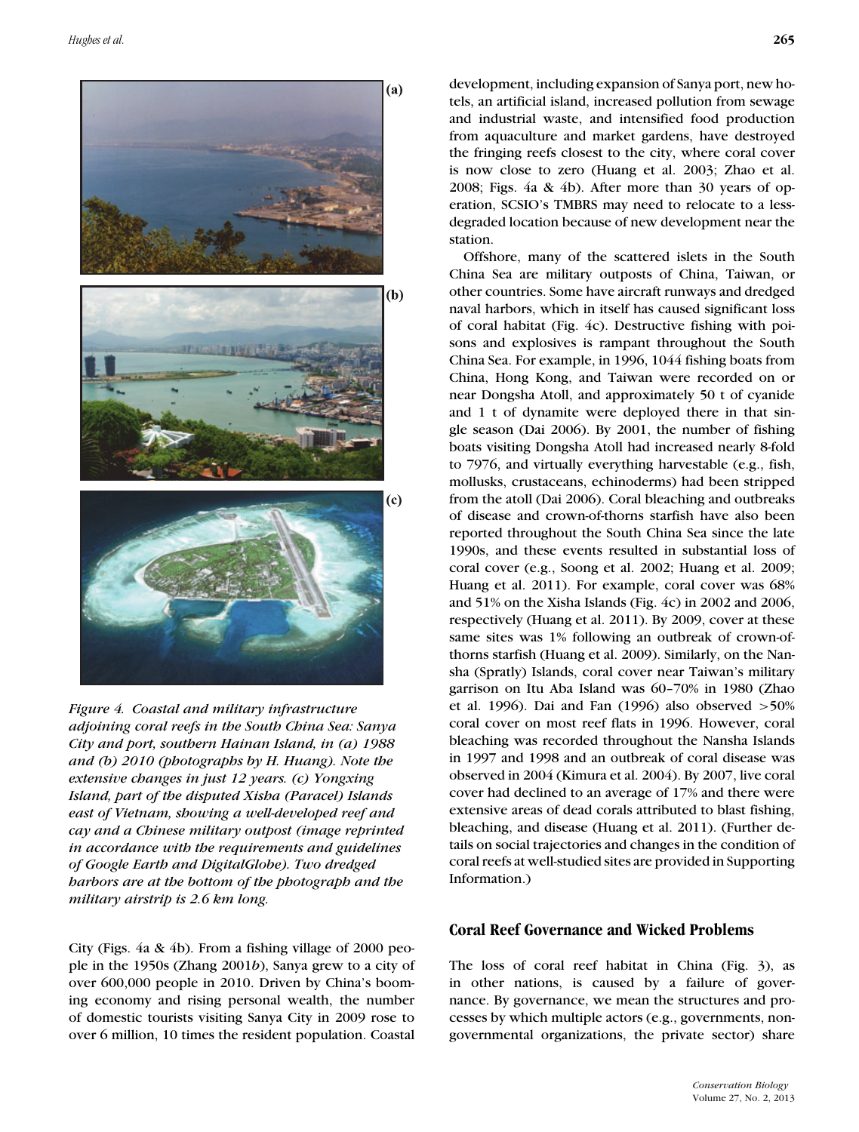

*Figure 4. Coastal and military infrastructure adjoining coral reefs in the South China Sea: Sanya City and port, southern Hainan Island, in (a) 1988 and (b) 2010 (photographs by H. Huang). Note the extensive changes in just 12 years. (c) Yongxing Island, part of the disputed Xisha (Paracel) Islands east of Vietnam, showing a well-developed reef and cay and a Chinese military outpost (image reprinted in accordance with the requirements and guidelines of Google Earth and DigitalGlobe). Two dredged harbors are at the bottom of the photograph and the military airstrip is 2.6 km long.*

City (Figs. 4a & 4b). From a fishing village of 2000 people in the 1950s (Zhang 2001*b*), Sanya grew to a city of over 600,000 people in 2010. Driven by China's booming economy and rising personal wealth, the number of domestic tourists visiting Sanya City in 2009 rose to over 6 million, 10 times the resident population. Coastal development, including expansion of Sanya port, new hotels, an artificial island, increased pollution from sewage and industrial waste, and intensified food production from aquaculture and market gardens, have destroyed the fringing reefs closest to the city, where coral cover is now close to zero (Huang et al. 2003; Zhao et al. 2008; Figs. 4a & 4b). After more than 30 years of operation, SCSIO's TMBRS may need to relocate to a lessdegraded location because of new development near the station.

Offshore, many of the scattered islets in the South China Sea are military outposts of China, Taiwan, or other countries. Some have aircraft runways and dredged naval harbors, which in itself has caused significant loss of coral habitat (Fig. 4c). Destructive fishing with poisons and explosives is rampant throughout the South China Sea. For example, in 1996, 1044 fishing boats from China, Hong Kong, and Taiwan were recorded on or near Dongsha Atoll, and approximately 50 t of cyanide and 1 t of dynamite were deployed there in that single season (Dai 2006). By 2001, the number of fishing boats visiting Dongsha Atoll had increased nearly 8-fold to 7976, and virtually everything harvestable (e.g., fish, mollusks, crustaceans, echinoderms) had been stripped from the atoll (Dai 2006). Coral bleaching and outbreaks of disease and crown-of-thorns starfish have also been reported throughout the South China Sea since the late 1990s, and these events resulted in substantial loss of coral cover (e.g., Soong et al. 2002; Huang et al. 2009; Huang et al. 2011). For example, coral cover was 68% and 51% on the Xisha Islands (Fig. 4c) in 2002 and 2006, respectively (Huang et al. 2011). By 2009, cover at these same sites was 1% following an outbreak of crown-ofthorns starfish (Huang et al. 2009). Similarly, on the Nansha (Spratly) Islands, coral cover near Taiwan's military garrison on Itu Aba Island was 60–70% in 1980 (Zhao et al. 1996). Dai and Fan (1996) also observed >50% coral cover on most reef flats in 1996. However, coral bleaching was recorded throughout the Nansha Islands in 1997 and 1998 and an outbreak of coral disease was observed in 2004 (Kimura et al. 2004). By 2007, live coral cover had declined to an average of 17% and there were extensive areas of dead corals attributed to blast fishing, bleaching, and disease (Huang et al. 2011). (Further details on social trajectories and changes in the condition of coral reefs at well-studied sites are provided in Supporting Information.)

## **Coral Reef Governance and Wicked Problems**

The loss of coral reef habitat in China (Fig. 3), as in other nations, is caused by a failure of governance. By governance, we mean the structures and processes by which multiple actors (e.g., governments, nongovernmental organizations, the private sector) share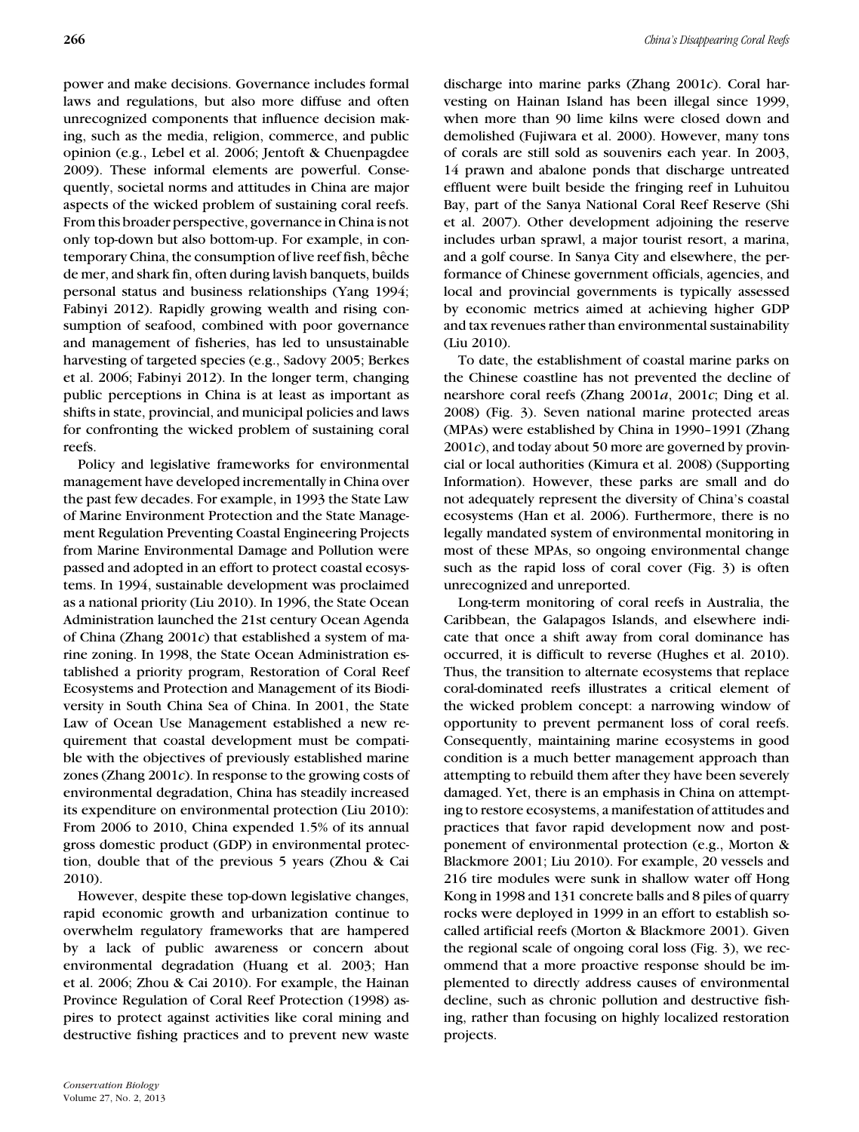power and make decisions. Governance includes formal laws and regulations, but also more diffuse and often unrecognized components that influence decision making, such as the media, religion, commerce, and public opinion (e.g., Lebel et al. 2006; Jentoft & Chuenpagdee 2009). These informal elements are powerful. Consequently, societal norms and attitudes in China are major aspects of the wicked problem of sustaining coral reefs. From this broader perspective, governance in China is not only top-down but also bottom-up. For example, in contemporary China, the consumption of live reef fish, bêche de mer, and shark fin, often during lavish banquets, builds personal status and business relationships (Yang 1994; Fabinyi 2012). Rapidly growing wealth and rising consumption of seafood, combined with poor governance and management of fisheries, has led to unsustainable harvesting of targeted species (e.g., Sadovy 2005; Berkes et al. 2006; Fabinyi 2012). In the longer term, changing public perceptions in China is at least as important as shifts in state, provincial, and municipal policies and laws for confronting the wicked problem of sustaining coral reefs.

Policy and legislative frameworks for environmental management have developed incrementally in China over the past few decades. For example, in 1993 the State Law of Marine Environment Protection and the State Management Regulation Preventing Coastal Engineering Projects from Marine Environmental Damage and Pollution were passed and adopted in an effort to protect coastal ecosystems. In 1994, sustainable development was proclaimed as a national priority (Liu 2010). In 1996, the State Ocean Administration launched the 21st century Ocean Agenda of China (Zhang 2001*c*) that established a system of marine zoning. In 1998, the State Ocean Administration established a priority program, Restoration of Coral Reef Ecosystems and Protection and Management of its Biodiversity in South China Sea of China. In 2001, the State Law of Ocean Use Management established a new requirement that coastal development must be compatible with the objectives of previously established marine zones (Zhang 2001*c*). In response to the growing costs of environmental degradation, China has steadily increased its expenditure on environmental protection (Liu 2010): From 2006 to 2010, China expended 1.5% of its annual gross domestic product (GDP) in environmental protection, double that of the previous 5 years (Zhou & Cai 2010).

However, despite these top-down legislative changes, rapid economic growth and urbanization continue to overwhelm regulatory frameworks that are hampered by a lack of public awareness or concern about environmental degradation (Huang et al. 2003; Han et al. 2006; Zhou & Cai 2010). For example, the Hainan Province Regulation of Coral Reef Protection (1998) aspires to protect against activities like coral mining and destructive fishing practices and to prevent new waste

discharge into marine parks (Zhang 2001*c*). Coral harvesting on Hainan Island has been illegal since 1999, when more than 90 lime kilns were closed down and demolished (Fujiwara et al. 2000). However, many tons of corals are still sold as souvenirs each year. In 2003, 14 prawn and abalone ponds that discharge untreated effluent were built beside the fringing reef in Luhuitou Bay, part of the Sanya National Coral Reef Reserve (Shi et al. 2007). Other development adjoining the reserve includes urban sprawl, a major tourist resort, a marina, and a golf course. In Sanya City and elsewhere, the performance of Chinese government officials, agencies, and local and provincial governments is typically assessed by economic metrics aimed at achieving higher GDP and tax revenues rather than environmental sustainability (Liu 2010).

To date, the establishment of coastal marine parks on the Chinese coastline has not prevented the decline of nearshore coral reefs (Zhang 2001*a*, 2001*c*; Ding et al. 2008) (Fig. 3). Seven national marine protected areas (MPAs) were established by China in 1990–1991 (Zhang 2001*c*), and today about 50 more are governed by provincial or local authorities (Kimura et al. 2008) (Supporting Information). However, these parks are small and do not adequately represent the diversity of China's coastal ecosystems (Han et al. 2006). Furthermore, there is no legally mandated system of environmental monitoring in most of these MPAs, so ongoing environmental change such as the rapid loss of coral cover (Fig. 3) is often unrecognized and unreported.

Long-term monitoring of coral reefs in Australia, the Caribbean, the Galapagos Islands, and elsewhere indicate that once a shift away from coral dominance has occurred, it is difficult to reverse (Hughes et al. 2010). Thus, the transition to alternate ecosystems that replace coral-dominated reefs illustrates a critical element of the wicked problem concept: a narrowing window of opportunity to prevent permanent loss of coral reefs. Consequently, maintaining marine ecosystems in good condition is a much better management approach than attempting to rebuild them after they have been severely damaged. Yet, there is an emphasis in China on attempting to restore ecosystems, a manifestation of attitudes and practices that favor rapid development now and postponement of environmental protection (e.g., Morton & Blackmore 2001; Liu 2010). For example, 20 vessels and 216 tire modules were sunk in shallow water off Hong Kong in 1998 and 131 concrete balls and 8 piles of quarry rocks were deployed in 1999 in an effort to establish socalled artificial reefs (Morton & Blackmore 2001). Given the regional scale of ongoing coral loss (Fig. 3), we recommend that a more proactive response should be implemented to directly address causes of environmental decline, such as chronic pollution and destructive fishing, rather than focusing on highly localized restoration projects.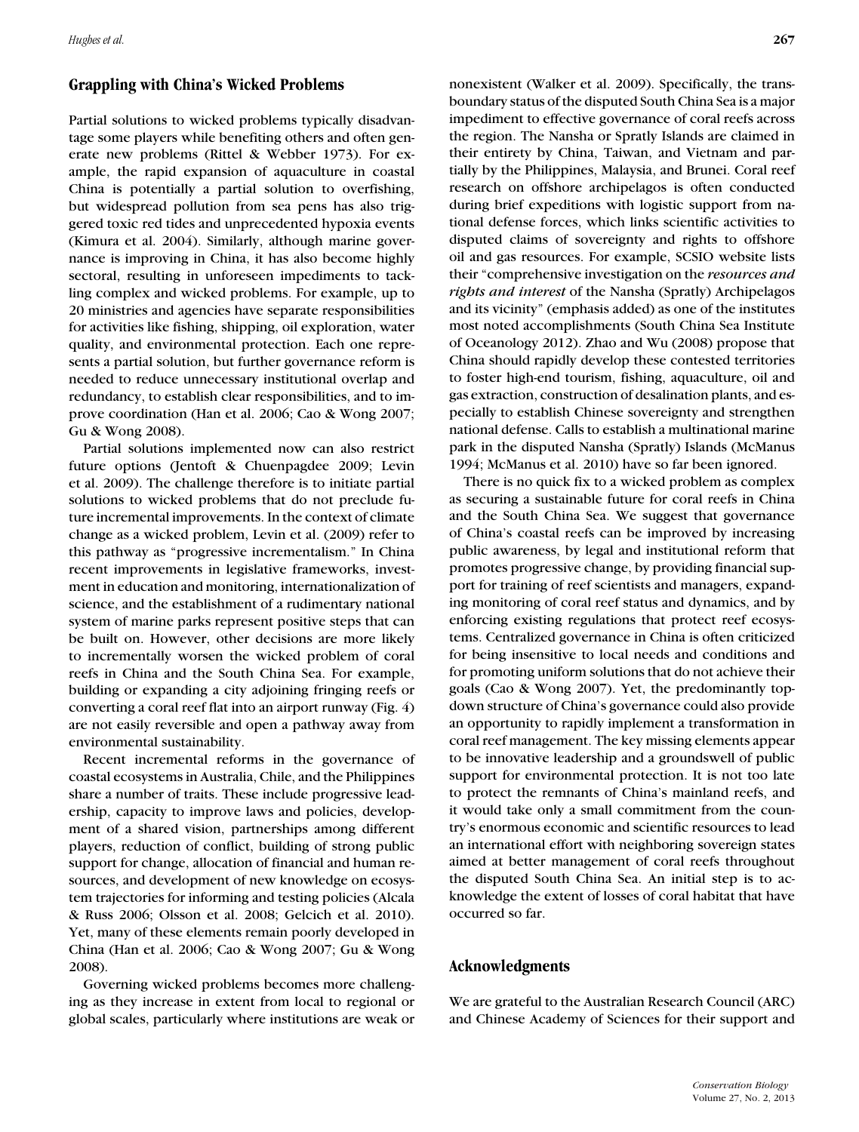## **Grappling with China's Wicked Problems**

Partial solutions to wicked problems typically disadvantage some players while benefiting others and often generate new problems (Rittel & Webber 1973). For example, the rapid expansion of aquaculture in coastal China is potentially a partial solution to overfishing, but widespread pollution from sea pens has also triggered toxic red tides and unprecedented hypoxia events (Kimura et al. 2004). Similarly, although marine governance is improving in China, it has also become highly sectoral, resulting in unforeseen impediments to tackling complex and wicked problems. For example, up to 20 ministries and agencies have separate responsibilities for activities like fishing, shipping, oil exploration, water quality, and environmental protection. Each one represents a partial solution, but further governance reform is needed to reduce unnecessary institutional overlap and redundancy, to establish clear responsibilities, and to improve coordination (Han et al. 2006; Cao & Wong 2007; Gu & Wong 2008).

Partial solutions implemented now can also restrict future options (Jentoft & Chuenpagdee 2009; Levin et al. 2009). The challenge therefore is to initiate partial solutions to wicked problems that do not preclude future incremental improvements. In the context of climate change as a wicked problem, Levin et al. (2009) refer to this pathway as "progressive incrementalism." In China recent improvements in legislative frameworks, investment in education and monitoring, internationalization of science, and the establishment of a rudimentary national system of marine parks represent positive steps that can be built on. However, other decisions are more likely to incrementally worsen the wicked problem of coral reefs in China and the South China Sea. For example, building or expanding a city adjoining fringing reefs or converting a coral reef flat into an airport runway (Fig. 4) are not easily reversible and open a pathway away from environmental sustainability.

Recent incremental reforms in the governance of coastal ecosystems in Australia, Chile, and the Philippines share a number of traits. These include progressive leadership, capacity to improve laws and policies, development of a shared vision, partnerships among different players, reduction of conflict, building of strong public support for change, allocation of financial and human resources, and development of new knowledge on ecosystem trajectories for informing and testing policies (Alcala & Russ 2006; Olsson et al. 2008; Gelcich et al. 2010). Yet, many of these elements remain poorly developed in China (Han et al. 2006; Cao & Wong 2007; Gu & Wong 2008).

Governing wicked problems becomes more challenging as they increase in extent from local to regional or global scales, particularly where institutions are weak or nonexistent (Walker et al. 2009). Specifically, the transboundary status of the disputed South China Sea is a major impediment to effective governance of coral reefs across the region. The Nansha or Spratly Islands are claimed in their entirety by China, Taiwan, and Vietnam and partially by the Philippines, Malaysia, and Brunei. Coral reef research on offshore archipelagos is often conducted during brief expeditions with logistic support from national defense forces, which links scientific activities to disputed claims of sovereignty and rights to offshore oil and gas resources. For example, SCSIO website lists their "comprehensive investigation on the *resources and rights and interest* of the Nansha (Spratly) Archipelagos and its vicinity" (emphasis added) as one of the institutes most noted accomplishments (South China Sea Institute of Oceanology 2012). Zhao and Wu (2008) propose that China should rapidly develop these contested territories to foster high-end tourism, fishing, aquaculture, oil and gas extraction, construction of desalination plants, and especially to establish Chinese sovereignty and strengthen national defense. Calls to establish a multinational marine park in the disputed Nansha (Spratly) Islands (McManus 1994; McManus et al. 2010) have so far been ignored.

There is no quick fix to a wicked problem as complex as securing a sustainable future for coral reefs in China and the South China Sea. We suggest that governance of China's coastal reefs can be improved by increasing public awareness, by legal and institutional reform that promotes progressive change, by providing financial support for training of reef scientists and managers, expanding monitoring of coral reef status and dynamics, and by enforcing existing regulations that protect reef ecosystems. Centralized governance in China is often criticized for being insensitive to local needs and conditions and for promoting uniform solutions that do not achieve their goals (Cao & Wong 2007). Yet, the predominantly topdown structure of China's governance could also provide an opportunity to rapidly implement a transformation in coral reef management. The key missing elements appear to be innovative leadership and a groundswell of public support for environmental protection. It is not too late to protect the remnants of China's mainland reefs, and it would take only a small commitment from the country's enormous economic and scientific resources to lead an international effort with neighboring sovereign states aimed at better management of coral reefs throughout the disputed South China Sea. An initial step is to acknowledge the extent of losses of coral habitat that have occurred so far.

## **Acknowledgments**

We are grateful to the Australian Research Council (ARC) and Chinese Academy of Sciences for their support and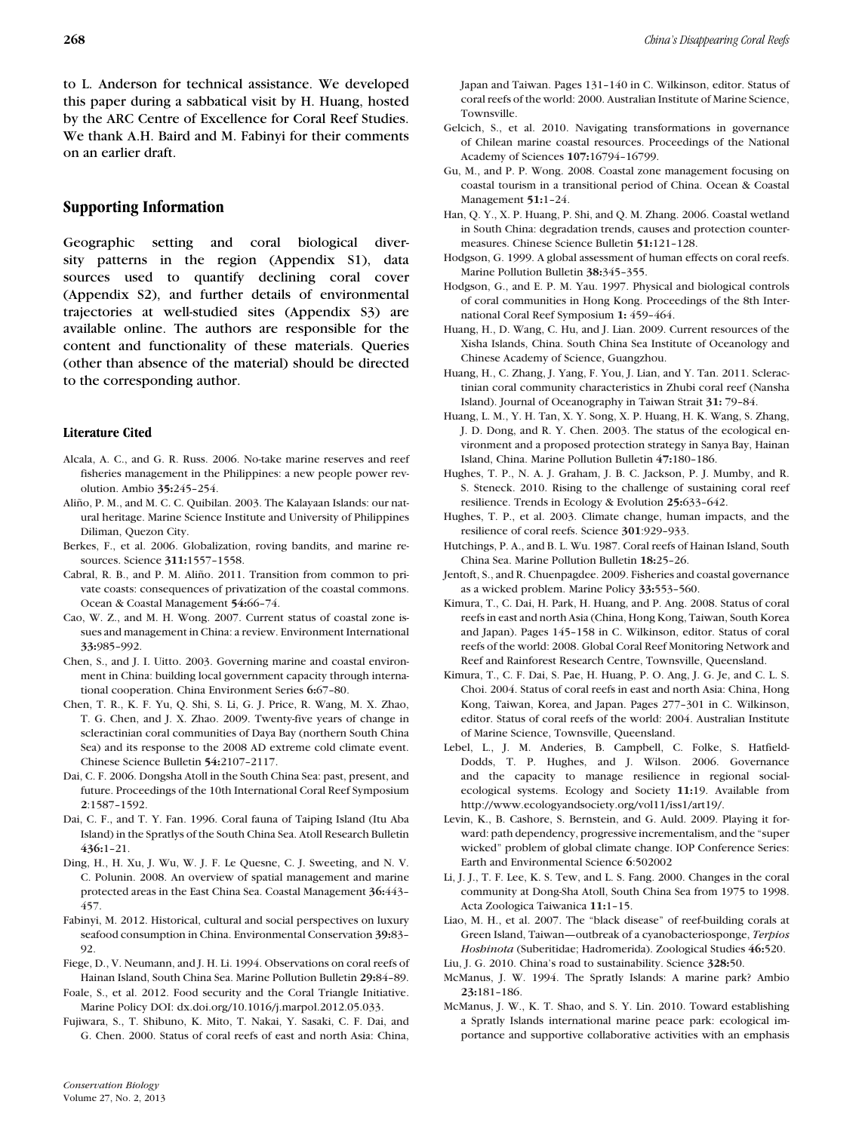to L. Anderson for technical assistance. We developed this paper during a sabbatical visit by H. Huang, hosted by the ARC Centre of Excellence for Coral Reef Studies. We thank A.H. Baird and M. Fabinyi for their comments on an earlier draft.

#### **Supporting Information**

Geographic setting and coral biological diversity patterns in the region (Appendix S1), data sources used to quantify declining coral cover (Appendix S2), and further details of environmental trajectories at well-studied sites (Appendix S3) are available online. The authors are responsible for the content and functionality of these materials. Queries (other than absence of the material) should be directed to the corresponding author.

#### **Literature Cited**

- Alcala, A. C., and G. R. Russ. 2006. No-take marine reserves and reef fisheries management in the Philippines: a new people power revolution. Ambio **35:**245–254.
- Aliño, P. M., and M. C. C. Quibilan. 2003. The Kalayaan Islands: our natural heritage. Marine Science Institute and University of Philippines Diliman, Quezon City.
- Berkes, F., et al. 2006. Globalization, roving bandits, and marine resources. Science **311:**1557–1558.
- Cabral, R. B., and P. M. Aliño. 2011. Transition from common to private coasts: consequences of privatization of the coastal commons. Ocean & Coastal Management **54:**66–74.
- Cao, W. Z., and M. H. Wong. 2007. Current status of coastal zone issues and management in China: a review. Environment International **33:**985–992.
- Chen, S., and J. I. Uitto. 2003. Governing marine and coastal environment in China: building local government capacity through international cooperation. China Environment Series **6:**67–80.
- Chen, T. R., K. F. Yu, Q. Shi, S. Li, G. J. Price, R. Wang, M. X. Zhao, T. G. Chen, and J. X. Zhao. 2009. Twenty-five years of change in scleractinian coral communities of Daya Bay (northern South China Sea) and its response to the 2008 AD extreme cold climate event. Chinese Science Bulletin **54:**2107–2117.
- Dai, C. F. 2006. Dongsha Atoll in the South China Sea: past, present, and future. Proceedings of the 10th International Coral Reef Symposium **2**:1587–1592.
- Dai, C. F., and T. Y. Fan. 1996. Coral fauna of Taiping Island (Itu Aba Island) in the Spratlys of the South China Sea. Atoll Research Bulletin **436:**1–21.
- Ding, H., H. Xu, J. Wu, W. J. F. Le Quesne, C. J. Sweeting, and N. V. C. Polunin. 2008. An overview of spatial management and marine protected areas in the East China Sea. Coastal Management **36:**443– 457.
- Fabinyi, M. 2012. Historical, cultural and social perspectives on luxury seafood consumption in China. Environmental Conservation **39:**83– 92.
- Fiege, D., V. Neumann, and J. H. Li. 1994. Observations on coral reefs of Hainan Island, South China Sea. Marine Pollution Bulletin **29:**84–89.
- Foale, S., et al. 2012. Food security and the Coral Triangle Initiative. Marine Policy DOI: dx.doi.org/10.1016/j.marpol.2012.05.033.
- Fujiwara, S., T. Shibuno, K. Mito, T. Nakai, Y. Sasaki, C. F. Dai, and G. Chen. 2000. Status of coral reefs of east and north Asia: China,

Japan and Taiwan. Pages 131–140 in C. Wilkinson, editor. Status of coral reefs of the world: 2000. Australian Institute of Marine Science, Townsville.

- Gelcich, S., et al. 2010. Navigating transformations in governance of Chilean marine coastal resources. Proceedings of the National Academy of Sciences **107:**16794–16799.
- Gu, M., and P. P. Wong. 2008. Coastal zone management focusing on coastal tourism in a transitional period of China. Ocean & Coastal Management **51:**1–24.
- Han, Q. Y., X. P. Huang, P. Shi, and Q. M. Zhang. 2006. Coastal wetland in South China: degradation trends, causes and protection countermeasures. Chinese Science Bulletin **51:**121–128.
- Hodgson, G. 1999. A global assessment of human effects on coral reefs. Marine Pollution Bulletin **38:**345–355.
- Hodgson, G., and E. P. M. Yau. 1997. Physical and biological controls of coral communities in Hong Kong. Proceedings of the 8th International Coral Reef Symposium **1:** 459–464.
- Huang, H., D. Wang, C. Hu, and J. Lian. 2009. Current resources of the Xisha Islands, China. South China Sea Institute of Oceanology and Chinese Academy of Science, Guangzhou.
- Huang, H., C. Zhang, J. Yang, F. You, J. Lian, and Y. Tan. 2011. Scleractinian coral community characteristics in Zhubi coral reef (Nansha Island). Journal of Oceanography in Taiwan Strait **31:** 79–84.
- Huang, L. M., Y. H. Tan, X. Y. Song, X. P. Huang, H. K. Wang, S. Zhang, J. D. Dong, and R. Y. Chen. 2003. The status of the ecological environment and a proposed protection strategy in Sanya Bay, Hainan Island, China. Marine Pollution Bulletin **47:**180–186.
- Hughes, T. P., N. A. J. Graham, J. B. C. Jackson, P. J. Mumby, and R. S. Steneck. 2010. Rising to the challenge of sustaining coral reef resilience. Trends in Ecology & Evolution **25:**633–642.
- Hughes, T. P., et al. 2003. Climate change, human impacts, and the resilience of coral reefs. Science **301**:929–933.
- Hutchings, P. A., and B. L. Wu. 1987. Coral reefs of Hainan Island, South China Sea. Marine Pollution Bulletin **18:**25–26.
- Jentoft, S., and R. Chuenpagdee. 2009. Fisheries and coastal governance as a wicked problem. Marine Policy **33:**553–560.
- Kimura, T., C. Dai, H. Park, H. Huang, and P. Ang. 2008. Status of coral reefs in east and north Asia (China, Hong Kong, Taiwan, South Korea and Japan). Pages 145–158 in C. Wilkinson, editor. Status of coral reefs of the world: 2008. Global Coral Reef Monitoring Network and Reef and Rainforest Research Centre, Townsville, Queensland.
- Kimura, T., C. F. Dai, S. Pae, H. Huang, P. O. Ang, J. G. Je, and C. L. S. Choi. 2004. Status of coral reefs in east and north Asia: China, Hong Kong, Taiwan, Korea, and Japan. Pages 277–301 in C. Wilkinson, editor. Status of coral reefs of the world: 2004. Australian Institute of Marine Science, Townsville, Queensland.
- Lebel, L., J. M. Anderies, B. Campbell, C. Folke, S. Hatfield-Dodds, T. P. Hughes, and J. Wilson. 2006. Governance and the capacity to manage resilience in regional socialecological systems. Ecology and Society **11:**19. Available from http://www.ecologyandsociety.org/vol11/iss1/art19/.
- Levin, K., B. Cashore, S. Bernstein, and G. Auld. 2009. Playing it forward: path dependency, progressive incrementalism, and the "super wicked" problem of global climate change. IOP Conference Series: Earth and Environmental Science **6**:502002
- Li, J. J., T. F. Lee, K. S. Tew, and L. S. Fang. 2000. Changes in the coral community at Dong-Sha Atoll, South China Sea from 1975 to 1998. Acta Zoologica Taiwanica **11:**1–15.
- Liao, M. H., et al. 2007. The "black disease" of reef-building corals at Green Island, Taiwan—outbreak of a cyanobacteriosponge, *Terpios Hoshinota* (Suberitidae; Hadromerida). Zoological Studies **46:**520.
- Liu, J. G. 2010. China's road to sustainability. Science **328:**50.
- McManus, J. W. 1994. The Spratly Islands: A marine park? Ambio **23:**181–186.
- McManus, J. W., K. T. Shao, and S. Y. Lin. 2010. Toward establishing a Spratly Islands international marine peace park: ecological importance and supportive collaborative activities with an emphasis